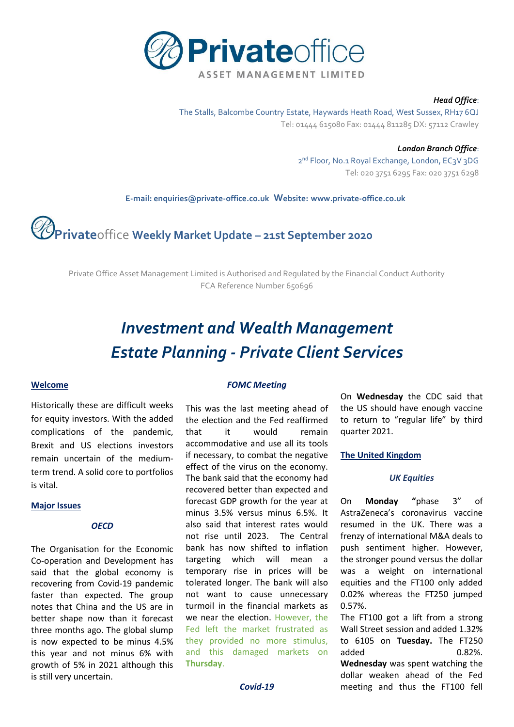

#### *Head Office*:

The Stalls, Balcombe Country Estate, Haywards Heath Road, West Sussex, RH17 6QJ Tel: 01444 615080 Fax: 01444 811285 DX: 57112 Crawley

> *London Branch Office*: 2<sup>nd</sup> Floor, No.1 Royal Exchange, London, EC3V 3DG Tel: 020 3751 6295 Fax: 020 3751 6298

 **E-mail[: enquiries@private-office.co.uk](mailto:enquiries@private-office.co.uk) Website: [www.private-office.co.uk](http://www.private-office.co.uk/)**

# **Private**office **Weekly Market Update – 21st September 2020**

Private Office Asset Management Limited is Authorised and Regulated by the Financial Conduct Authority FCA Reference Number 650696

## *Investment and Wealth Management Estate Planning - Private Client Services*

#### **Welcome**

Historically these are difficult weeks for equity investors. With the added complications of the pandemic, Brexit and US elections investors remain uncertain of the mediumterm trend. A solid core to portfolios is vital.

#### **Major Issues**

#### *OECD*

The Organisation for the Economic Co-operation and Development has said that the global economy is recovering from Covid-19 pandemic faster than expected. The group notes that China and the US are in better shape now than it forecast three months ago. The global slump is now expected to be minus 4.5% this year and not minus 6% with growth of 5% in 2021 although this is still very uncertain.

#### *FOMC Meeting*

This was the last meeting ahead of the election and the Fed reaffirmed that it would remain accommodative and use all its tools if necessary, to combat the negative effect of the virus on the economy. The bank said that the economy had recovered better than expected and forecast GDP growth for the year at minus 3.5% versus minus 6.5%. It also said that interest rates would not rise until 2023. The Central bank has now shifted to inflation targeting which will mean a temporary rise in prices will be tolerated longer. The bank will also not want to cause unnecessary turmoil in the financial markets as we near the election. However, the Fed left the market frustrated as they provided no more stimulus, and this damaged markets on **Thursday**.

On **Wednesday** the CDC said that the US should have enough vaccine to return to "regular life" by third quarter 2021.

#### **The United Kingdom**

#### *UK Equities*

On **Monday "**phase 3" of AstraZeneca's coronavirus vaccine resumed in the UK. There was a frenzy of international M&A deals to push sentiment higher. However, the stronger pound versus the dollar was a weight on international equities and the FT100 only added 0.02% whereas the FT250 jumped 0.57%.

The FT100 got a lift from a strong Wall Street session and added 1.32% to 6105 on **Tuesday.** The FT250 added 0.82%. **Wednesday** was spent watching the dollar weaken ahead of the Fed meeting and thus the FT100 fell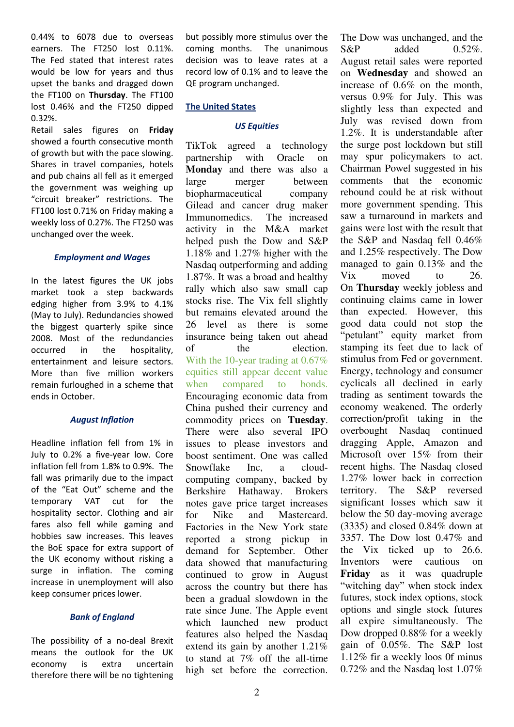0.44% to 6078 due to overseas earners. The FT250 lost 0.11%. The Fed stated that interest rates would be low for years and thus upset the banks and dragged down the FT100 on **Thursday**. The FT100 lost 0.46% and the FT250 dipped 0.32%.

Retail sales figures on **Friday**  showed a fourth consecutive month of growth but with the pace slowing. Shares in travel companies, hotels and pub chains all fell as it emerged the government was weighing up "circuit breaker" restrictions. The FT100 lost 0.71% on Friday making a weekly loss of 0.27%. The FT250 was unchanged over the week.

#### *Employment and Wages*

In the latest figures the UK jobs market took a step backwards edging higher from 3.9% to 4.1% (May to July). Redundancies showed the biggest quarterly spike since 2008. Most of the redundancies occurred in the hospitality, entertainment and leisure sectors. More than five million workers remain furloughed in a scheme that ends in October.

#### *August Inflation*

Headline inflation fell from 1% in July to 0.2% a five-year low. Core inflation fell from 1.8% to 0.9%. The fall was primarily due to the impact of the "Eat Out" scheme and the temporary VAT cut for the hospitality sector. Clothing and air fares also fell while gaming and hobbies saw increases. This leaves the BoE space for extra support of the UK economy without risking a surge in inflation. The coming increase in unemployment will also keep consumer prices lower.

#### *Bank of England*

The possibility of a no-deal Brexit means the outlook for the UK economy is extra uncertain therefore there will be no tightening but possibly more stimulus over the coming months. The unanimous decision was to leave rates at a record low of 0.1% and to leave the QE program unchanged.

#### **The United States**

#### *US Equities*

TikTok agreed a technology partnership with Oracle on **Monday** and there was also a large merger between biopharmaceutical company Gilead and cancer drug maker Immunomedics. The increased activity in the M&A market helped push the Dow and S&P 1.18% and 1.27% higher with the Nasdaq outperforming and adding 1.87%. It was a broad and healthy rally which also saw small cap stocks rise. The Vix fell slightly but remains elevated around the 26 level as there is some insurance being taken out ahead of the election. With the 10-year trading at 0.67% equities still appear decent value when compared to bonds. Encouraging economic data from China pushed their currency and commodity prices on **Tuesday**. There were also several IPO issues to please investors and boost sentiment. One was called Snowflake Inc, a cloudcomputing company, backed by Berkshire Hathaway. Brokers notes gave price target increases for Nike and Mastercard. Factories in the New York state reported a strong pickup in demand for September. Other data showed that manufacturing continued to grow in August across the country but there has been a gradual slowdown in the rate since June. The Apple event which launched new product features also helped the Nasdaq extend its gain by another 1.21% to stand at 7% off the all-time high set before the correction.

The Dow was unchanged, and the  $S\&P$  added  $0.52\%$ . August retail sales were reported on **Wednesday** and showed an increase of 0.6% on the month, versus 0.9% for July. This was slightly less than expected and July was revised down from 1.2%. It is understandable after the surge post lockdown but still may spur policymakers to act. Chairman Powel suggested in his comments that the economic rebound could be at risk without more government spending. This saw a turnaround in markets and gains were lost with the result that the S&P and Nasdaq fell 0.46% and 1.25% respectively. The Dow managed to gain 0.13% and the Vix moved to 26. On **Thursday** weekly jobless and continuing claims came in lower than expected. However, this good data could not stop the "petulant" equity market from stamping its feet due to lack of stimulus from Fed or government. Energy, technology and consumer cyclicals all declined in early trading as sentiment towards the economy weakened. The orderly correction/profit taking in the overbought Nasdaq continued dragging Apple, Amazon and Microsoft over 15% from their recent highs. The Nasdaq closed 1.27% lower back in correction territory. The S&P reversed significant losses which saw it below the 50 day-moving average (3335) and closed 0.84% down at 3357. The Dow lost 0.47% and the Vix ticked up to 26.6. Inventors were cautious on **Friday** as it was quadruple "witching day" when stock index futures, stock index options, stock options and single stock futures all expire simultaneously. The Dow dropped 0.88% for a weekly gain of 0.05%. The S&P lost 1.12% fir a weekly loos 0f minus 0.72% and the Nasdaq lost 1.07%